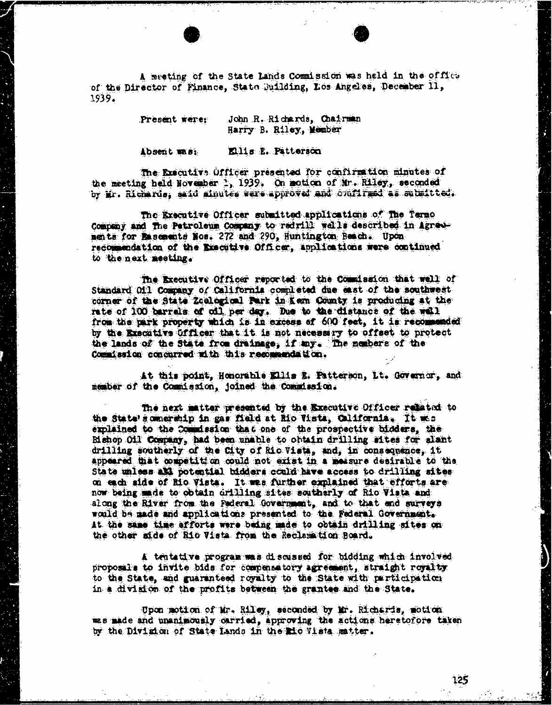A meeting of the State Lands Commission was held in the offies of the Director of Finance, State Building, Los Angeles, December 11, 1939.

> Present were: John R. Richards, Chairman Harry B. Riley, Member

Absent mas: Ellis E. Patterson

The Executive Officer presented for confirmation minutes of the meeting held November 3, 1939, On motion of Mr. Riley, seconded by Mr. Richards; said minutes were approved and doufired as submitted.

The Executive Officer submitted applications of The Termo Company and the Petroleum Company to radrill wells described in Agreements for Basements Nos. 272 and 290, Huntington Beach. Upon recommendation of the Executive Officer, applications were continued to the next meeting.

The Executive Officer reported to the Counission that well of Standard Oil Company of California completed due east of the southwest corner of the State Zoological Park in Kam County is producing at the rate of 100 barrels of oil per day. Due to the distance of the wall from the park property which is in excess of 600 feet, it is recommended by the Executive Officer that it is not necessary to offset to protect the lands of the State from drainage; if my. The members of the Commission concurred with this recommendation.

At this point, Honorable Ellis E. Patterson, It. Governor, and member of the Commission, joined the Comidasion.

The next matter presented by the Executive Officer related to the State's comerchip in gas field at Rio Vista, California. It was explained to the Comidssion that one of the prospective bidders, the Bishop Oil Company, had been unable to obtain drilling sites for alant drilling southerly of the City of Rio Vista, and, in consequence, it appeared that competition could not exist in a measure desirable to the State unless all potential bidders could have access to drilling sites on each side of Rio Vista. It wes further explained that efforts are now being made to obtain drilling sites southerly of Rio Vista and along the River from the Federal Government, and to that and surveys would be made and applications presented to the Federal Government. At the same time efforts were being made to obtain drilling sites on the other side of Rio Vista from the Reclamation Board.

A tentative program was discussed for bidding which involved proposals to invite bids for compensatory agreement, straight royalty to the State, and guaranteed royalty to the State with participation in a division of the profits between the grantee and the State.

Upon motion of Mr. Riley, seconded by Mr. Richards, motion was made and unanimously carried, approving the actions heretofore taken by the Division of State Lando in the Rio Vista matter.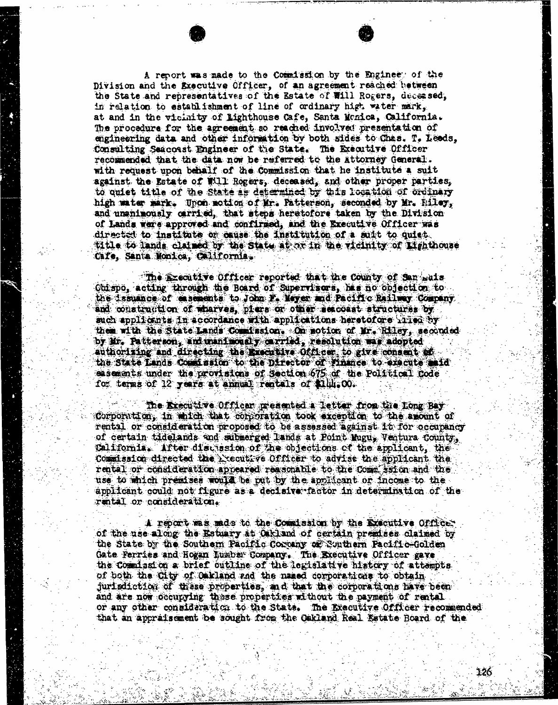A report was made to the Commission by the Enginee of the Division and the Executive Officer, of an agreement reached between the State and representatives of the Estate of Will Rogers, deceased, in relation to establishment of line of ordinary high water mark, at and in the vicinity of Lighthouse Cafe, Santa Monica, California. The procedure for the agreement so reached involved presentation of engineering data and other information by both sides to Ches. T. Leeds, Consulting Seacoast Engineer of the State. The Executive Officer recommended that the data now be referred to the Attorney General. with request upon behalf of the Commission that he institute a suit against the Estate of Will Rogers, deceased, and other proper parties, to quiet title of the State a's determined by this location of ordinary high water mark. Upon motion of Mr. Patterson, seconded by Mr. Filey, and unanimously carried, that steps heretofore taken by the Division of Lands were approved and confirmed, and the Executive Officer was directed to institute of cause the institution of a suit to quiet. title to lands claimed by the State at at in the vicinity of Lighthouse cafe, Santa Monica, California.

. . .

" The Executive Officer reported that the County of San wais Obispo, acting through the Board of Supervisors, has no objection to the issuance of casements to John F. Meyer and Pacific Railway Company and construction of wharves, piers or other seacoast structures by such applicants in accordance with applications heretofore inter by them with the State Lands Commission. . On motion of Mr. Riley, seconded by Mr. Patterson, and unanimously carried, resolution was adopted authorizing and directing the Executive Officer, to give consent of the State Lands Commission to the Director of finance to execute maid easements under the provisions of Section 675 of the Political Code for tenas of 12 years at annual rentals of \$146.00.

"The Executive Officer presented a letter from the Long Bay Corporation, in which that corporation took exception to the amount of rental or consideration proposed to be assessed against it for occupancy of certain tidelands and submerged lands at Point Mugu, Ventura County, California. After discussion of the objections of the applicant, the Commission directed the Executive Officer to advise the applicant the rental or consideration appeared reasonable to the Commission and the use to which premises would be put by the applicant or income to the applicant could not figure as a decisive factor in determination of the rental or consideration.

A report was made to the Comission by the Executive officer of the use along the Estuary at Oakland of certain premises claimed by the State by the Southem Pacific Company of Southern Pacific Golden Gate Ferries and Hogan Lumber Company. The Executive Officer gave the Commission a brief outline of the legislative history of attempts of both the City of Oakland and the named corporations to obtain jurisdiction of these properties, and that the corporations have been and are now occupying these properties without the payment of rental or any other consideration to the State. The Executive Officer recommended that an appraisement be sought from the Oakland Real Estate Board of the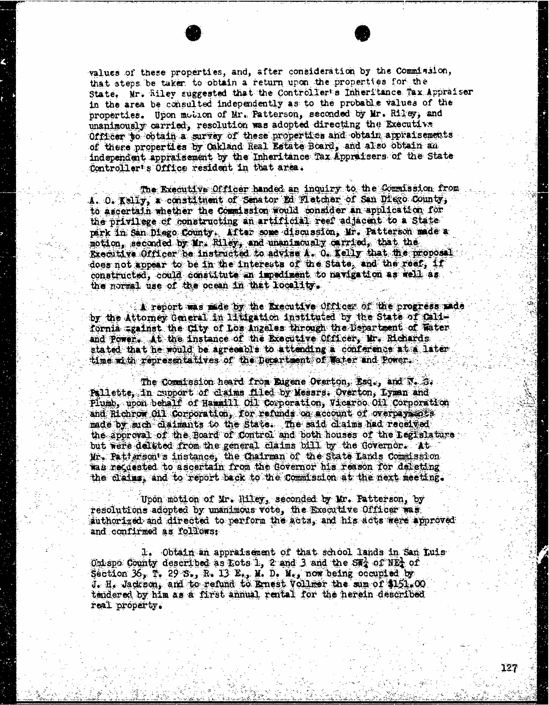values of these properties, and, after consideration by the Commission, that steps be taker. to obtain a return upon the properties for the State, Mr. Riley suggested that the Controller's Inheritance Tax Appraiser in the area be consulted independently as to the probable values of the properties. Upon motion of Mr. Patterson, seconded by Mr. Riley, and unanimously carried, resolution was adopted directing the Executive Officer to obtain a survey of these properties and obtain appraisements of these properties by Oakland Real Estate Board, and also obtain an independent appraisement by the Inheritance Tax Appraisers of the State Controller's Office resident in that area.

The Executive Officer handed an inquiry to the Commission from A. O. Kelly, a constituent of Senator Ed Fletcher of San Diego County; to ascertain whether the Commission would consider an application for the privilege of constructing an artificial reef adjacent to a State park in San Diego County: After some discussion, Mr. Patterson made a motion, seconded by Mr. Riley, and unanimously carried, that the Executive Officer be instructed to advise A. 0. Kelly that the proposal does not appear to be in the interests of the state, and the reef, if constructed, could constitute an impediment to navigation as well as the normal use of the ocean in that locality.

A report was made by the Executive officer of the progress made by the Attorney General in litigation instituted by the State of california #gainst the City of Los Angeles through the Department of Water and Power. At the instance of the Executive Officer, Mr. Richards stated that he would be agreeable to attending a conference at a later time with representatives of the Department of Water and Power.

The commission heard from Digene Overton, Esq., and N. B. Pallette, in support of claims filed by Messrs. Overton, Lyman and Plumb, upon behalf of Hammill Ofl Corporation, Vicaroo Oil Corporation and Richrow Oil Corporation, for refunds on account of overpayments made by such daimants to the State. The said claims had received the approval of the Board of Control and both houses of the Legislature but were deleted from the general claims bill by the Governor. At Mr. Patterson's instance, the Chairman of the State Lands Commission was recasted to ascertain from the Governor his reason for deleting the claims, and to report back to the Commission at the next meeting.

Upon motion of Mr. Riley, seconded by Mr. Patterson, by resolutions adopted by unanimous vote, the Executive Officer was authorized and directed to perform the acta, and his acts were approved and confirmed as follows:

1. Obtain an appraisement of that school lands in San Luis Obispo County described as Lots 1, 2 and 3 and the SNA of NEA of Section 36, T. 29 S., R. 13 E., M. D. M., now being occupied by J. H. Jackson, and to refund to Ernest Vollmer the sum of \$151.00 tendered by him as a first annual rental for the herein described real property.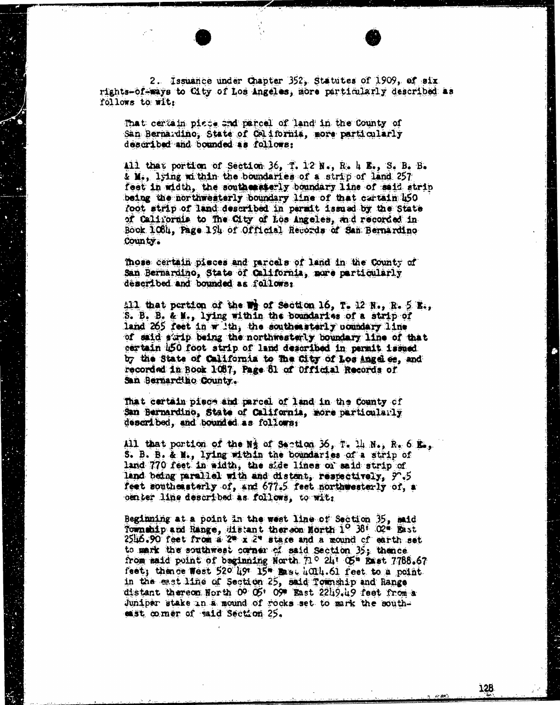2. Issuance under Chapter 352, Statutes of 1909, of six<br>rights-of-ways to City of Los Angeles, more particularly described as follows to wit:

That certain piece and parcel of land in the County of San Bernardino, State of California, more particularly described and bounded as follows:

All that portion of Section 36, T. 12 N., R. 4 E., S. B. B.  $\boldsymbol{\xi}$  M., lying within the boundaries of a strip of land 257 feet in width, the southeasterly boundary line of said strip being the northwesterly boundary line of that cartain 450 foot strip of land described in permit issued by the State of California to The City of Los Angeles, and recorded in Book 108, Page 194 of Official Records of San Bernardino County .

mose certain pieces and parcels of land in the County of San Bernardino, State of California, more particularly described and bounded as follows:

All that portion of the  $\mathbf{W}$  of Section 16, T. 12 N., R. 5 K., S.  $\mathbf{F}$ .  $\mathbf{F}$ .  $\mathbf{F}$ .  $\mathbf{F}$ .  $\mathbf{F}$ .  $\mathbf{F}$ .  $\mathbf{F}$ .  $\mathbf{F}$ .  $\mathbf{F}$ .  $\mathbf{F}$ .  $\mathbf{F}$ .  $\mathbf{F}$ .  $\mathbf{F}$ .  $\mathbf{F}$ .  $\mathbf{F}$ . land  $265$  feet in with, the southeasterly coundary line of said strip being the northwesterly boundary line of that certain 450 foot strip of land described in permit issued by the State of California to The City of Los Ange es, and recorded in Book 1087, Page 81 of official Records of San Bernardino County.

That certain piece and parcel of land in the County of San Bernardino, State of California, more particularly described, and bounded as follows;

All that portion of the  $N_2$  of Section 36, T. 14  $N_2$ , R. 6 K., S. B. B. & M., lying within the boundaries of a strip of land 770 feet in width, the side lines of said strip of land being parallel with and distant, respectively, 90.5 feet southeasterly of, and 677.5 feet northwesterly of, a center line described as follows, to wit

Beginning at a point in the west line of Section 35, mid Township and Range, distant thereon North 1<sup>0</sup> 38<sup>1</sup> 02<sup>\*</sup> East  $2546.90$  feet from a  $20 \times 2^4$  stare and a mound of earth set to mark the southwest corner of said Section 35; thence from said point of beginning North.  $71^\circ$  241 05" Exst 7788.67 feet; thence West  $520$  491 15" Best 4014.61 feet to a point in the east line of Section 25, said Township and Range distant thereon North 00 05' 09" East 2219.49 feet from a Juniper stake in a mound of rocks set to mark the southmist comer of said Section 25.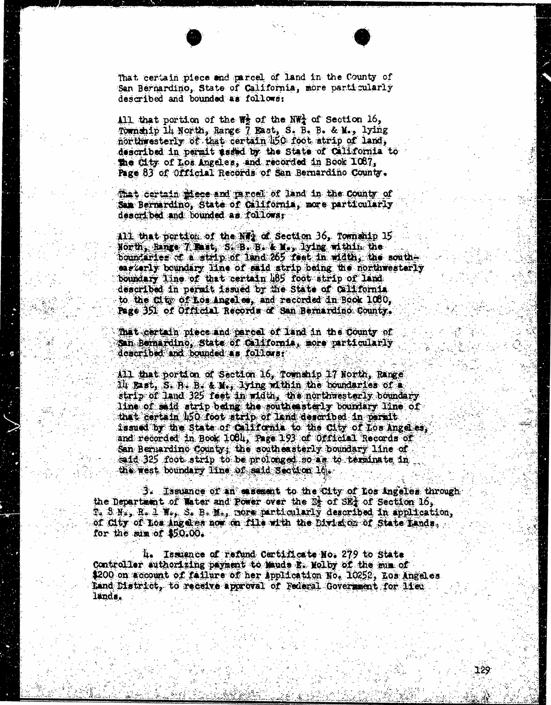That certain piece and parcel of land in the County of San Bernardino, State of California, more particularly described and bounded as follows:

All that portion of the  $W_2$  of the NWA of Section 16, Township 14 North, Range 7 East, S. B. B. & M., lying northwesterly of that certain 50 foot strip of land, described in permit sadid by the State of California to the City of Los Angeles, and recorded in Book 1087, Page 83 of Official Records of San Bernardino County.

That certain idece and parcel of land in the county of San Bernardino, State of California, more particularly described and bounded as followsr

All that portion of the NT<sub>2</sub> of Section 36, Township 15 North, Range 7 Est, S. B. B. & M.; lying within the boundaries of a strip of land 265 feet in width, the southeasterly boundary line of said strip being the northwesterly boundary line of that certain 485 foot strip of land described in permit issued by the State of california to the City of Los Angeles, and recorded in Book 1080, Page 351 of Official Records of San Bernardino County.

That certain piece and parcel of land in the County of San Bernardino, State of California, more particularly described and bounded as follows.

All that portion of Section 16, Township 17 North, Range All Bast, S. R. B. & M., lying within the boundaries of a strip of land 325 feet in width, the northwesterly boundary line of said strip being the south es starly boundary line of that certain 450 foot strip of land described in parait. issued by the State of california to the City of Los Angeles," and recorded in Book 1081, Page 193 of Official Records of San Bernardino County; the southeasterly boundary line of said 325 foot strip to be prolonged so as to terminate in the west boundary line of said Section 10.

3. Issuance of an casement to the City of Los Angeles through the Department of Water and Power over the Is of SEX of Section 16,<br>T. S.N., R. 1 W., S. B. M., nore particularly described in application, of City of Los ingeles now on file with the Divid on of State Lands, for the sum of \$50.00.

4. Issuence of refund Certificate No. 279 to State Controller authorizing payment to Maude E. Molby of the mim of \$200 on account of failure of her Application No. 10252, Los Angeles Land District, to receive approval of Federal Government for lieu lands.

129